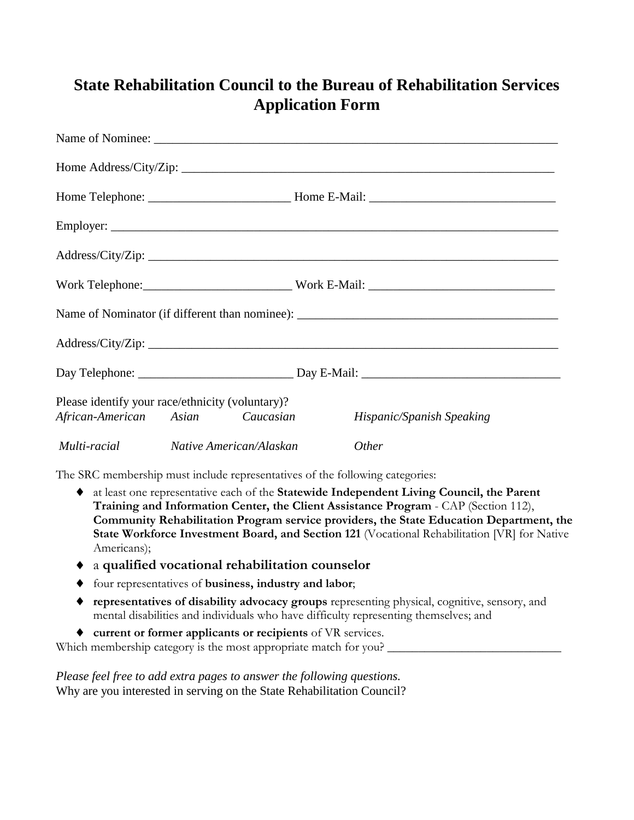## **State Rehabilitation Council to the Bureau of Rehabilitation Services Application Form**

|                                                  |  |                                      | Home Address/City/Zip:    |
|--------------------------------------------------|--|--------------------------------------|---------------------------|
|                                                  |  |                                      |                           |
|                                                  |  |                                      |                           |
|                                                  |  |                                      |                           |
|                                                  |  |                                      |                           |
|                                                  |  |                                      |                           |
|                                                  |  |                                      |                           |
|                                                  |  |                                      |                           |
| Please identify your race/ethnicity (voluntary)? |  |                                      |                           |
|                                                  |  | African-American Asian Caucasian     | Hispanic/Spanish Speaking |
|                                                  |  | Multi-racial Mative American/Alaskan | <i>Other</i>              |

The SRC membership must include representatives of the following categories:

- at least one representative each of the **Statewide Independent Living Council, the Parent Training and Information Center, the Client Assistance Program** - CAP (Section 112), **Community Rehabilitation Program service providers, the State Education Department, the State Workforce Investment Board, and Section 121** (Vocational Rehabilitation [VR] for Native Americans);
- a **qualified vocational rehabilitation counselor**
- four representatives of **business, industry and labor**;
- **representatives of disability advocacy groups** representing physical, cognitive, sensory, and mental disabilities and individuals who have difficulty representing themselves; and
- **current or former applicants or recipients** of VR services.

Which membership category is the most appropriate match for you?

*Please feel free to add extra pages to answer the following questions.* Why are you interested in serving on the State Rehabilitation Council?